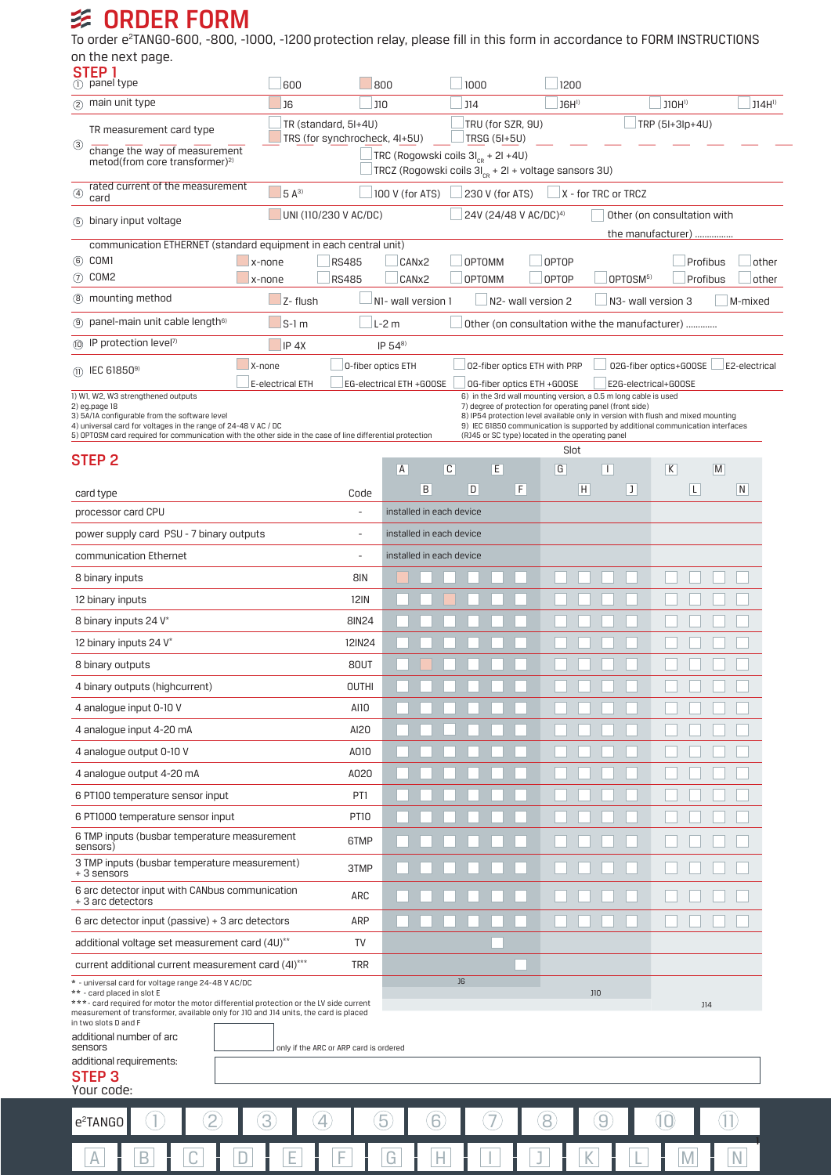## **多 ORDER FORM**

To order e<sup>2</sup>TANG0-600, -800, -1000, -1200 protection relay, please fill in this form in accordance to FORM INSTRUCTIONS on the next page.

| STEP <sub>1</sub><br>$(1)$ panel type                                                                                                                                         |                                                                                                    | 600                                                              |                                        | 800        |                                                                  | 1000                                                             |   |   | 1200                                             |                                                                                                                             |   |                                                                                  |              |               |
|-------------------------------------------------------------------------------------------------------------------------------------------------------------------------------|----------------------------------------------------------------------------------------------------|------------------------------------------------------------------|----------------------------------------|------------|------------------------------------------------------------------|------------------------------------------------------------------|---|---|--------------------------------------------------|-----------------------------------------------------------------------------------------------------------------------------|---|----------------------------------------------------------------------------------|--------------|---------------|
| 2 main unit type                                                                                                                                                              | <b>J6</b>                                                                                          |                                                                  |                                        | <b>J10</b> |                                                                  | <b>J14</b>                                                       |   |   | JGH <sup>1</sup>                                 |                                                                                                                             |   | J1OH <sup>1</sup>                                                                |              | $J14H^{1}$    |
|                                                                                                                                                                               | TR (standard, 5I+4U)<br>TR measurement card type                                                   |                                                                  |                                        |            | TRU (for SZR, 9U)                                                |                                                                  |   |   | TRP (5I+3lp+4U)                                  |                                                                                                                             |   |                                                                                  |              |               |
| TRS (for synchrocheck, 4I+5U)<br>☺<br>change the way of measurement                                                                                                           |                                                                                                    |                                                                  |                                        |            | TRSG (5I+5U)<br>TRC (Rogowski coils 3I <sub>CR</sub> + 2I +4U)   |                                                                  |   |   |                                                  |                                                                                                                             |   |                                                                                  |              |               |
| metod(from core transformer) <sup>2)</sup>                                                                                                                                    |                                                                                                    |                                                                  |                                        |            |                                                                  | TRCZ (Rogowski coils 3I <sub>CR</sub> + 2I + voltage sansors 3U) |   |   |                                                  |                                                                                                                             |   |                                                                                  |              |               |
| ④<br>card                                                                                                                                                                     | rated current of the measurement<br>$5A^{3}$                                                       |                                                                  |                                        |            | 100 V (for ATS)<br>$\Box$ X - for TRC or TRCZ<br>230 V (for ATS) |                                                                  |   |   |                                                  |                                                                                                                             |   |                                                                                  |              |               |
|                                                                                                                                                                               | UNI (110/230 V AC/DC)<br>5 binary input voltage                                                    |                                                                  |                                        |            | 24V (24/48 V AC/DC) <sup>4)</sup>                                |                                                                  |   |   |                                                  | Other (on consultation with                                                                                                 |   |                                                                                  |              |               |
|                                                                                                                                                                               |                                                                                                    | communication ETHERNET (standard equipment in each central unit) |                                        |            |                                                                  |                                                                  |   |   | the manufacturer)                                |                                                                                                                             |   |                                                                                  |              |               |
| 6 COM1<br>x-none<br><b>RS485</b>                                                                                                                                              |                                                                                                    |                                                                  |                                        |            | CANx2<br><b>OPTOMM</b>                                           |                                                                  |   |   | <b>OPTOP</b><br>Profibus                         |                                                                                                                             |   |                                                                                  | other        |               |
| 7 COM2<br><b>RS485</b><br>x-none<br>8 mounting method                                                                                                                         |                                                                                                    |                                                                  |                                        |            | CAN <sub>x2</sub><br><b>OPTOMM</b>                               |                                                                  |   |   | <b>OPTOP</b><br>OPTOSM <sup>5)</sup><br>Profibus |                                                                                                                             |   |                                                                                  | other        |               |
| $Z$ - flush<br>panel-main unit cable length <sup>6)</sup><br>$S-1$ m<br>(9)                                                                                                   |                                                                                                    |                                                                  |                                        |            | N1- wall version 1<br>N2- wall version 2<br>$L-2m$               |                                                                  |   |   | N3- wall version 3                               |                                                                                                                             |   |                                                                                  | M-mixed      |               |
| (ii) IP protection level <sup>7)</sup>                                                                                                                                        | $IP 54^{8}$                                                                                        | Other (on consultation withe the manufacturer)                   |                                        |            |                                                                  |                                                                  |   |   |                                                  |                                                                                                                             |   |                                                                                  |              |               |
| (1) IEC 61850 <sup>9)</sup>                                                                                                                                                   |                                                                                                    | IP <sub>4X</sub><br>X-none                                       | 0-fiber optics ETH                     |            |                                                                  |                                                                  |   |   | 02-fiber optics ETH with PRP                     |                                                                                                                             |   | 02G-fiber optics+G00SE                                                           |              | E2-electrical |
|                                                                                                                                                                               | E-electrical ETH<br>EG-electrical ETH +GOOSE<br>OG-fiber optics ETH +GOOSE<br>E2G-electrical+GOOSE |                                                                  |                                        |            |                                                                  |                                                                  |   |   |                                                  |                                                                                                                             |   |                                                                                  |              |               |
| 1) W1, W2, W3 strengthened outputs<br>2) eg.page 18<br>3) 5A/1A configurable from the software level                                                                          |                                                                                                    |                                                                  |                                        |            |                                                                  |                                                                  |   |   |                                                  | 6) in the 3rd wall mounting version, a 0.5 m long cable is used<br>7) degree of protection for operating panel (front side) |   | 8) IP54 protection level available only in version with flush and mixed mounting |              |               |
| 4) universal card for voltages in the range of 24-48 V AC / DC<br>5) OPTOSM card required for communication with the other side in the case of line differential protection   |                                                                                                    |                                                                  |                                        |            |                                                                  |                                                                  |   |   |                                                  | (RJ45 or SC type) located in the operating panel                                                                            |   | 9) IEC 61850 communication is supported by additional communication interfaces   |              |               |
| STEP 2                                                                                                                                                                        |                                                                                                    |                                                                  |                                        |            |                                                                  |                                                                  |   |   | Slot                                             |                                                                                                                             |   |                                                                                  |              |               |
|                                                                                                                                                                               |                                                                                                    |                                                                  |                                        | A          | B                                                                | C<br>D                                                           | E | F | G                                                | Ш<br>$\overline{H}$                                                                                                         | J | K<br>L                                                                           | $\mathsf{M}$ | N             |
| card type                                                                                                                                                                     |                                                                                                    |                                                                  | Code                                   |            |                                                                  | installed in each device                                         |   |   |                                                  |                                                                                                                             |   |                                                                                  |              |               |
| processor card CPU<br>power supply card PSU - 7 binary outputs                                                                                                                |                                                                                                    |                                                                  | ٠                                      |            |                                                                  | installed in each device                                         |   |   |                                                  |                                                                                                                             |   |                                                                                  |              |               |
| communication Ethernet                                                                                                                                                        |                                                                                                    |                                                                  | $\overline{\phantom{a}}$               |            |                                                                  | installed in each device                                         |   |   |                                                  |                                                                                                                             |   |                                                                                  |              |               |
| 8 binary inputs                                                                                                                                                               |                                                                                                    |                                                                  | 8IN                                    |            |                                                                  |                                                                  |   |   |                                                  |                                                                                                                             |   |                                                                                  |              |               |
| <b>12IN</b>                                                                                                                                                                   |                                                                                                    |                                                                  |                                        |            |                                                                  |                                                                  |   |   |                                                  |                                                                                                                             |   |                                                                                  |              |               |
| 12 binary inputs<br><b>8IN24</b>                                                                                                                                              |                                                                                                    |                                                                  |                                        |            |                                                                  |                                                                  |   |   |                                                  |                                                                                                                             |   |                                                                                  |              |               |
| 8 binary inputs 24 V*<br>12IN24<br>12 binary inputs 24 V*                                                                                                                     |                                                                                                    |                                                                  |                                        |            |                                                                  |                                                                  |   |   |                                                  |                                                                                                                             |   |                                                                                  |              |               |
| 8 binary outputs                                                                                                                                                              |                                                                                                    |                                                                  | 80UT                                   |            |                                                                  |                                                                  |   |   |                                                  |                                                                                                                             |   |                                                                                  |              |               |
| 4 binary outputs (highcurrent)                                                                                                                                                |                                                                                                    |                                                                  | <b>OUTHI</b>                           |            |                                                                  |                                                                  |   |   |                                                  |                                                                                                                             |   |                                                                                  |              |               |
| 4 analogue input 0-10 V                                                                                                                                                       |                                                                                                    |                                                                  | AI10                                   |            |                                                                  |                                                                  |   |   |                                                  |                                                                                                                             |   |                                                                                  |              |               |
| 4 analogue input 4-20 mA                                                                                                                                                      |                                                                                                    |                                                                  | AI20                                   |            |                                                                  |                                                                  |   |   |                                                  |                                                                                                                             |   |                                                                                  |              |               |
| A010<br>4 analogue output 0-10 V                                                                                                                                              |                                                                                                    |                                                                  |                                        |            |                                                                  |                                                                  |   |   |                                                  |                                                                                                                             |   |                                                                                  |              |               |
| A020<br>4 analogue output 4-20 mA                                                                                                                                             |                                                                                                    |                                                                  |                                        |            |                                                                  |                                                                  |   |   |                                                  |                                                                                                                             |   |                                                                                  |              |               |
| PT1<br>6 PT100 temperature sensor input                                                                                                                                       |                                                                                                    |                                                                  |                                        |            |                                                                  |                                                                  |   |   |                                                  |                                                                                                                             |   |                                                                                  |              |               |
| 6 PT1000 temperature sensor input                                                                                                                                             |                                                                                                    |                                                                  | <b>PT10</b>                            |            |                                                                  |                                                                  |   |   |                                                  |                                                                                                                             |   |                                                                                  |              |               |
| 6 TMP inputs (busbar temperature measurement<br>sensors)                                                                                                                      |                                                                                                    |                                                                  | 6TMP                                   |            |                                                                  |                                                                  |   |   |                                                  |                                                                                                                             |   |                                                                                  |              |               |
| 3 TMP inputs (busbar temperature measurement)<br>3TMP<br>+ 3 sensors                                                                                                          |                                                                                                    |                                                                  |                                        |            |                                                                  |                                                                  |   |   |                                                  |                                                                                                                             |   |                                                                                  |              |               |
| 6 arc detector input with CANbus communication                                                                                                                                |                                                                                                    |                                                                  | ARC                                    |            |                                                                  |                                                                  |   |   |                                                  |                                                                                                                             |   |                                                                                  |              |               |
| + 3 arc detectors<br>6 arc detector input (passive) $+$ 3 arc detectors<br>ARP                                                                                                |                                                                                                    |                                                                  |                                        |            |                                                                  |                                                                  |   |   |                                                  |                                                                                                                             |   |                                                                                  |              |               |
| additional voltage set measurement card (4U)**                                                                                                                                |                                                                                                    |                                                                  | TV                                     |            |                                                                  |                                                                  |   |   |                                                  |                                                                                                                             |   |                                                                                  |              |               |
| current additional current measurement card (4I)***                                                                                                                           |                                                                                                    |                                                                  | <b>TRR</b>                             |            |                                                                  |                                                                  |   |   |                                                  |                                                                                                                             |   |                                                                                  |              |               |
| * - universal card for voltage range 24-48 V AC/DC<br>** - card placed in slot E                                                                                              |                                                                                                    |                                                                  |                                        |            |                                                                  | J6                                                               |   |   |                                                  | <b>J10</b>                                                                                                                  |   |                                                                                  |              |               |
| ***- card required for motor the motor differential protection or the LV side current<br>measurement of transformer, available only for J10 and J14 units, the card is placed |                                                                                                    |                                                                  |                                        |            |                                                                  |                                                                  |   |   |                                                  |                                                                                                                             |   |                                                                                  | J14          |               |
| in two slots D and F<br>additional number of arc                                                                                                                              |                                                                                                    |                                                                  |                                        |            |                                                                  |                                                                  |   |   |                                                  |                                                                                                                             |   |                                                                                  |              |               |
| sensors                                                                                                                                                                       |                                                                                                    |                                                                  | only if the ARC or ARP card is ordered |            |                                                                  |                                                                  |   |   |                                                  |                                                                                                                             |   |                                                                                  |              |               |
| additional requirements:<br><b>STEP 3</b>                                                                                                                                     |                                                                                                    |                                                                  |                                        |            |                                                                  |                                                                  |   |   |                                                  |                                                                                                                             |   |                                                                                  |              |               |
| Your code:                                                                                                                                                                    |                                                                                                    |                                                                  |                                        |            |                                                                  |                                                                  |   |   |                                                  |                                                                                                                             |   |                                                                                  |              |               |
| e <sup>2</sup> TANGO                                                                                                                                                          |                                                                                                    | 3                                                                |                                        | 5          | 6                                                                |                                                                  |   |   |                                                  |                                                                                                                             |   |                                                                                  |              |               |
|                                                                                                                                                                               |                                                                                                    |                                                                  |                                        |            |                                                                  |                                                                  |   |   |                                                  |                                                                                                                             |   |                                                                                  |              |               |
|                                                                                                                                                                               |                                                                                                    |                                                                  |                                        |            |                                                                  |                                                                  |   |   |                                                  |                                                                                                                             |   |                                                                                  |              |               |